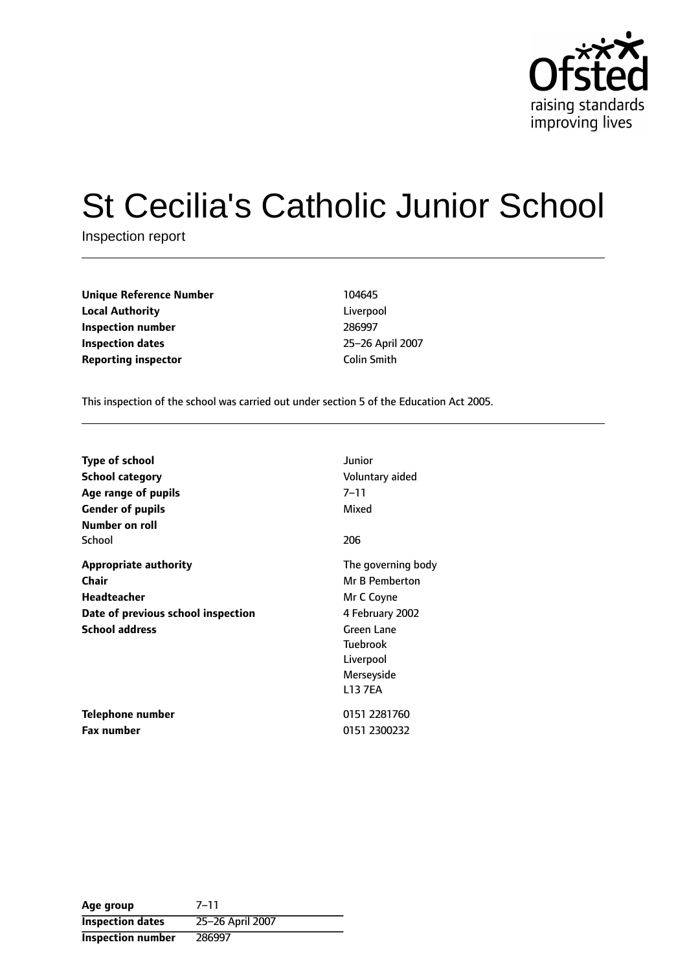

# St Cecilia's Catholic Junior School

Inspection report

| <b>Unique Reference Number</b> | 104645             |
|--------------------------------|--------------------|
| <b>Local Authority</b>         | Liverpool          |
| Inspection number              | 286997             |
| <b>Inspection dates</b>        | 25-26 April        |
| <b>Reporting inspector</b>     | <b>Colin Smith</b> |

**Unique Reference Number** 104645 Liverpool **Inspection number** 286997 **25-26 April 2007** 

This inspection of the school was carried out under section 5 of the Education Act 2005.

| <b>Type of school</b>              | Junior             |
|------------------------------------|--------------------|
| <b>School category</b>             | Voluntary aided    |
| Age range of pupils                | 7–11               |
| <b>Gender of pupils</b>            | Mixed              |
| Number on roll                     |                    |
| School                             | 206                |
| Appropriate authority              | The governing body |
| Chair                              | Mr B Pemberton     |
| Headteacher                        | Mr C Coyne         |
| Date of previous school inspection | 4 February 2002    |
| <b>School address</b>              | <b>Green Lane</b>  |
|                                    | <b>Tuebrook</b>    |
|                                    | Liverpool          |
|                                    | Merseyside         |
|                                    | <b>L13 7EA</b>     |
| Telephone number                   | 0151 2281760       |
| <b>Fax number</b>                  | 0151 2300232       |

| Age group                | $7 - 11$         |
|--------------------------|------------------|
| <b>Inspection dates</b>  | 25-26 April 2007 |
| <b>Inspection number</b> | 286997           |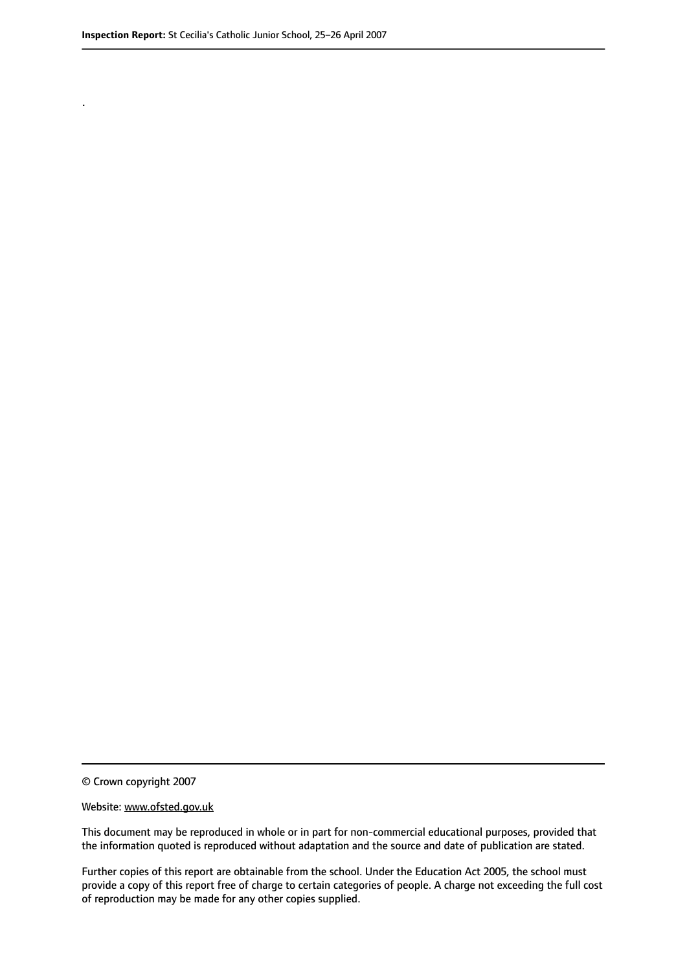.

© Crown copyright 2007

#### Website: www.ofsted.gov.uk

This document may be reproduced in whole or in part for non-commercial educational purposes, provided that the information quoted is reproduced without adaptation and the source and date of publication are stated.

Further copies of this report are obtainable from the school. Under the Education Act 2005, the school must provide a copy of this report free of charge to certain categories of people. A charge not exceeding the full cost of reproduction may be made for any other copies supplied.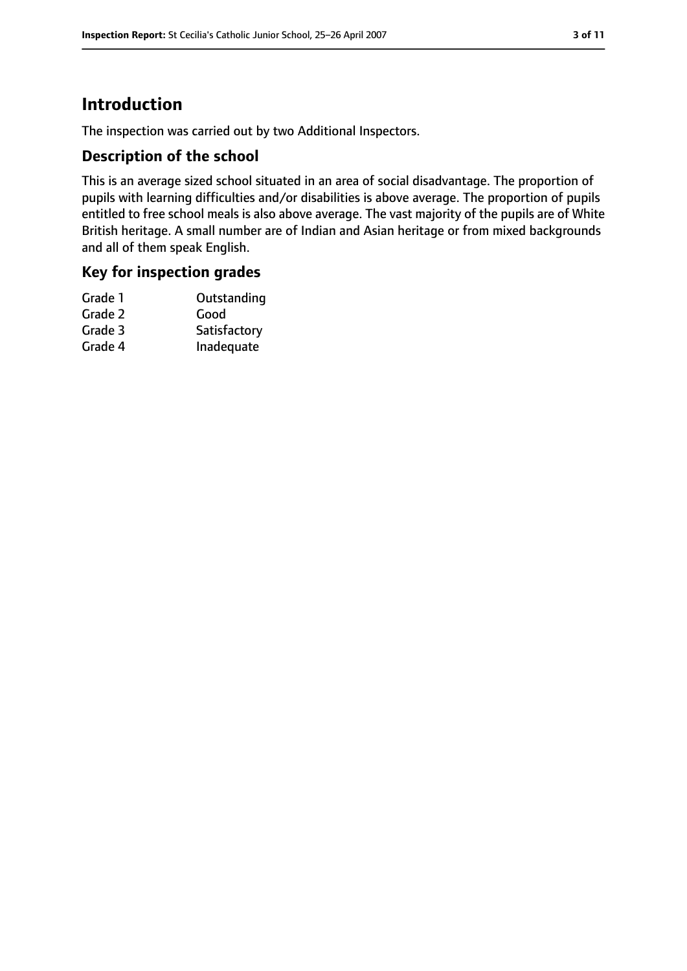# **Introduction**

The inspection was carried out by two Additional Inspectors.

# **Description of the school**

This is an average sized school situated in an area of social disadvantage. The proportion of pupils with learning difficulties and/or disabilities is above average. The proportion of pupils entitled to free school meals is also above average. The vast majority of the pupils are of White British heritage. A small number are of Indian and Asian heritage or from mixed backgrounds and all of them speak English.

# **Key for inspection grades**

| Grade 1 | Outstanding  |
|---------|--------------|
| Grade 2 | Good         |
| Grade 3 | Satisfactory |
| Grade 4 | Inadequate   |
|         |              |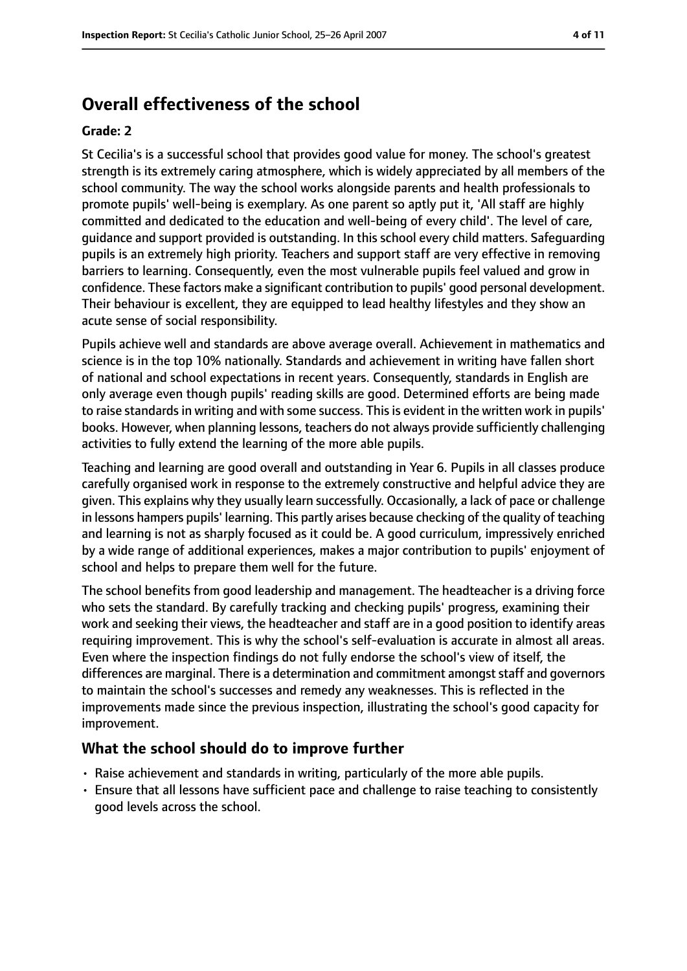# **Overall effectiveness of the school**

#### **Grade: 2**

St Cecilia's is a successful school that provides good value for money. The school's greatest strength is its extremely caring atmosphere, which is widely appreciated by all members of the school community. The way the school works alongside parents and health professionals to promote pupils' well-being is exemplary. As one parent so aptly put it, 'All staff are highly committed and dedicated to the education and well-being of every child'. The level of care, guidance and support provided is outstanding. In this school every child matters. Safeguarding pupils is an extremely high priority. Teachers and support staff are very effective in removing barriers to learning. Consequently, even the most vulnerable pupils feel valued and grow in confidence. These factors make a significant contribution to pupils' good personal development. Their behaviour is excellent, they are equipped to lead healthy lifestyles and they show an acute sense of social responsibility.

Pupils achieve well and standards are above average overall. Achievement in mathematics and science is in the top 10% nationally. Standards and achievement in writing have fallen short of national and school expectations in recent years. Consequently, standards in English are only average even though pupils' reading skills are good. Determined efforts are being made to raise standards in writing and with some success. This is evident in the written work in pupils' books. However, when planning lessons, teachers do not always provide sufficiently challenging activities to fully extend the learning of the more able pupils.

Teaching and learning are good overall and outstanding in Year 6. Pupils in all classes produce carefully organised work in response to the extremely constructive and helpful advice they are given. This explains why they usually learn successfully. Occasionally, a lack of pace or challenge in lessons hampers pupils' learning. This partly arises because checking of the quality of teaching and learning is not as sharply focused as it could be. A good curriculum, impressively enriched by a wide range of additional experiences, makes a major contribution to pupils' enjoyment of school and helps to prepare them well for the future.

The school benefits from good leadership and management. The headteacher is a driving force who sets the standard. By carefully tracking and checking pupils' progress, examining their work and seeking their views, the headteacher and staff are in a good position to identify areas requiring improvement. This is why the school's self-evaluation is accurate in almost all areas. Even where the inspection findings do not fully endorse the school's view of itself, the differences are marginal. There is a determination and commitment amongst staff and governors to maintain the school's successes and remedy any weaknesses. This is reflected in the improvements made since the previous inspection, illustrating the school's good capacity for improvement.

#### **What the school should do to improve further**

- Raise achievement and standards in writing, particularly of the more able pupils.
- Ensure that all lessons have sufficient pace and challenge to raise teaching to consistently good levels across the school.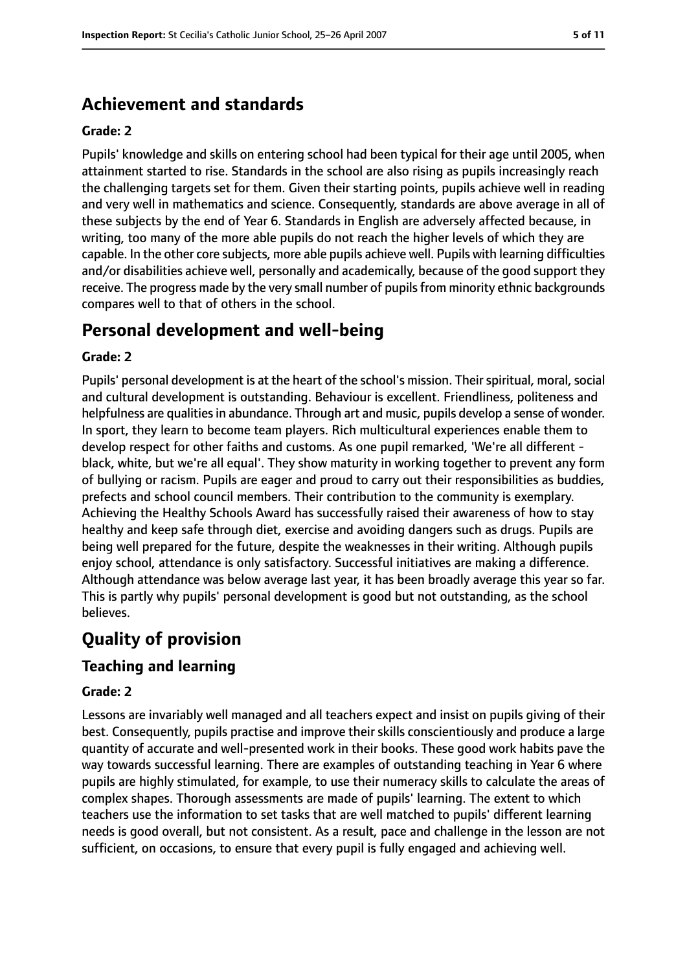# **Achievement and standards**

#### **Grade: 2**

Pupils' knowledge and skills on entering school had been typical for their age until 2005, when attainment started to rise. Standards in the school are also rising as pupils increasingly reach the challenging targets set for them. Given their starting points, pupils achieve well in reading and very well in mathematics and science. Consequently, standards are above average in all of these subjects by the end of Year 6. Standards in English are adversely affected because, in writing, too many of the more able pupils do not reach the higher levels of which they are capable. In the other core subjects, more able pupils achieve well. Pupils with learning difficulties and/or disabilities achieve well, personally and academically, because of the good support they receive. The progress made by the very small number of pupils from minority ethnic backgrounds compares well to that of others in the school.

# **Personal development and well-being**

#### **Grade: 2**

Pupils' personal development is at the heart of the school's mission. Their spiritual, moral, social and cultural development is outstanding. Behaviour is excellent. Friendliness, politeness and helpfulness are qualities in abundance. Through art and music, pupils develop a sense of wonder. In sport, they learn to become team players. Rich multicultural experiences enable them to develop respect for other faiths and customs. As one pupil remarked, 'We're all different black, white, but we're all equal'. They show maturity in working together to prevent any form of bullying or racism. Pupils are eager and proud to carry out their responsibilities as buddies, prefects and school council members. Their contribution to the community is exemplary. Achieving the Healthy Schools Award has successfully raised their awareness of how to stay healthy and keep safe through diet, exercise and avoiding dangers such as drugs. Pupils are being well prepared for the future, despite the weaknesses in their writing. Although pupils enjoy school, attendance is only satisfactory. Successful initiatives are making a difference. Although attendance was below average last year, it has been broadly average this year so far. This is partly why pupils' personal development is good but not outstanding, as the school believes.

# **Quality of provision**

### **Teaching and learning**

#### **Grade: 2**

Lessons are invariably well managed and all teachers expect and insist on pupils giving of their best. Consequently, pupils practise and improve their skills conscientiously and produce a large quantity of accurate and well-presented work in their books. These good work habits pave the way towards successful learning. There are examples of outstanding teaching in Year 6 where pupils are highly stimulated, for example, to use their numeracy skills to calculate the areas of complex shapes. Thorough assessments are made of pupils' learning. The extent to which teachers use the information to set tasks that are well matched to pupils' different learning needs is good overall, but not consistent. As a result, pace and challenge in the lesson are not sufficient, on occasions, to ensure that every pupil is fully engaged and achieving well.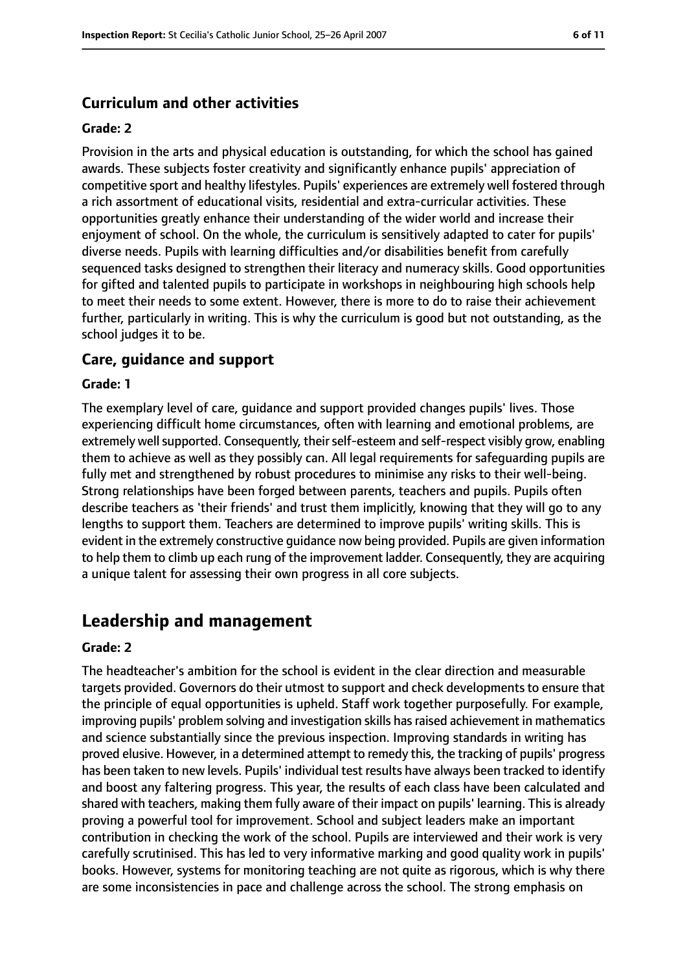# **Curriculum and other activities**

#### **Grade: 2**

Provision in the arts and physical education is outstanding, for which the school has gained awards. These subjects foster creativity and significantly enhance pupils' appreciation of competitive sport and healthy lifestyles. Pupils' experiences are extremely well fostered through a rich assortment of educational visits, residential and extra-curricular activities. These opportunities greatly enhance their understanding of the wider world and increase their enjoyment of school. On the whole, the curriculum is sensitively adapted to cater for pupils' diverse needs. Pupils with learning difficulties and/or disabilities benefit from carefully sequenced tasks designed to strengthen their literacy and numeracy skills. Good opportunities for gifted and talented pupils to participate in workshops in neighbouring high schools help to meet their needs to some extent. However, there is more to do to raise their achievement further, particularly in writing. This is why the curriculum is good but not outstanding, as the school judges it to be.

#### **Care, guidance and support**

#### **Grade: 1**

The exemplary level of care, guidance and support provided changes pupils' lives. Those experiencing difficult home circumstances, often with learning and emotional problems, are extremely well supported. Consequently, their self-esteem and self-respect visibly grow, enabling them to achieve as well as they possibly can. All legal requirements for safeguarding pupils are fully met and strengthened by robust procedures to minimise any risks to their well-being. Strong relationships have been forged between parents, teachers and pupils. Pupils often describe teachers as 'their friends' and trust them implicitly, knowing that they will go to any lengths to support them. Teachers are determined to improve pupils' writing skills. This is evident in the extremely constructive guidance now being provided. Pupils are given information to help them to climb up each rung of the improvement ladder. Consequently, they are acquiring a unique talent for assessing their own progress in all core subjects.

# **Leadership and management**

#### **Grade: 2**

The headteacher's ambition for the school is evident in the clear direction and measurable targets provided. Governors do their utmost to support and check developments to ensure that the principle of equal opportunities is upheld. Staff work together purposefully. For example, improving pupils' problem solving and investigation skills hasraised achievement in mathematics and science substantially since the previous inspection. Improving standards in writing has proved elusive. However, in a determined attempt to remedy this, the tracking of pupils' progress has been taken to new levels. Pupils' individual test results have always been tracked to identify and boost any faltering progress. This year, the results of each class have been calculated and shared with teachers, making them fully aware of their impact on pupils' learning. This is already proving a powerful tool for improvement. School and subject leaders make an important contribution in checking the work of the school. Pupils are interviewed and their work is very carefully scrutinised. This has led to very informative marking and good quality work in pupils' books. However, systems for monitoring teaching are not quite as rigorous, which is why there are some inconsistencies in pace and challenge across the school. The strong emphasis on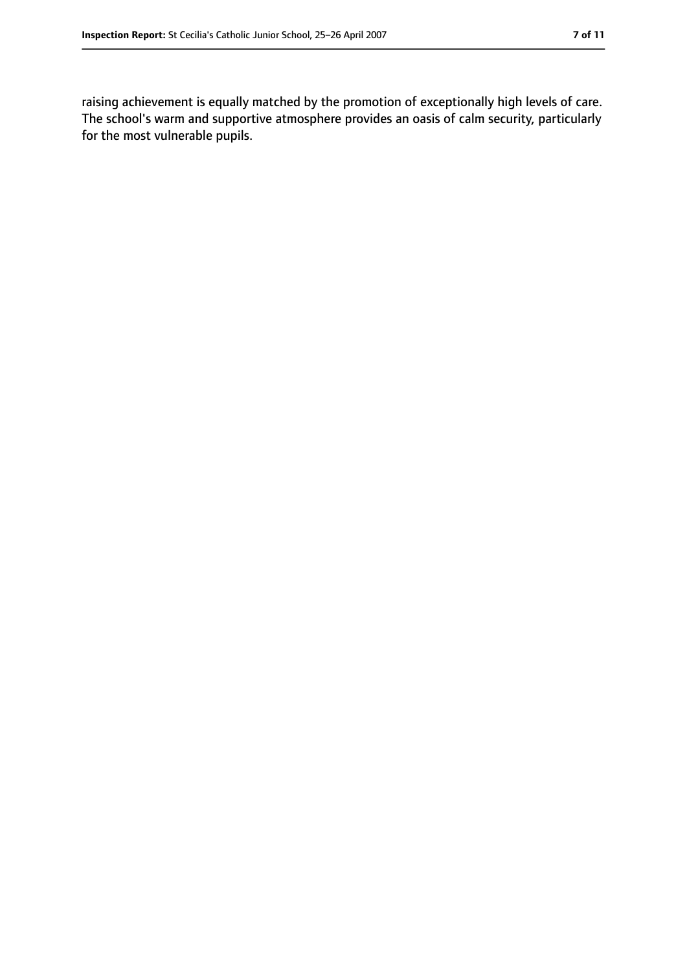raising achievement is equally matched by the promotion of exceptionally high levels of care. The school's warm and supportive atmosphere provides an oasis of calm security, particularly for the most vulnerable pupils.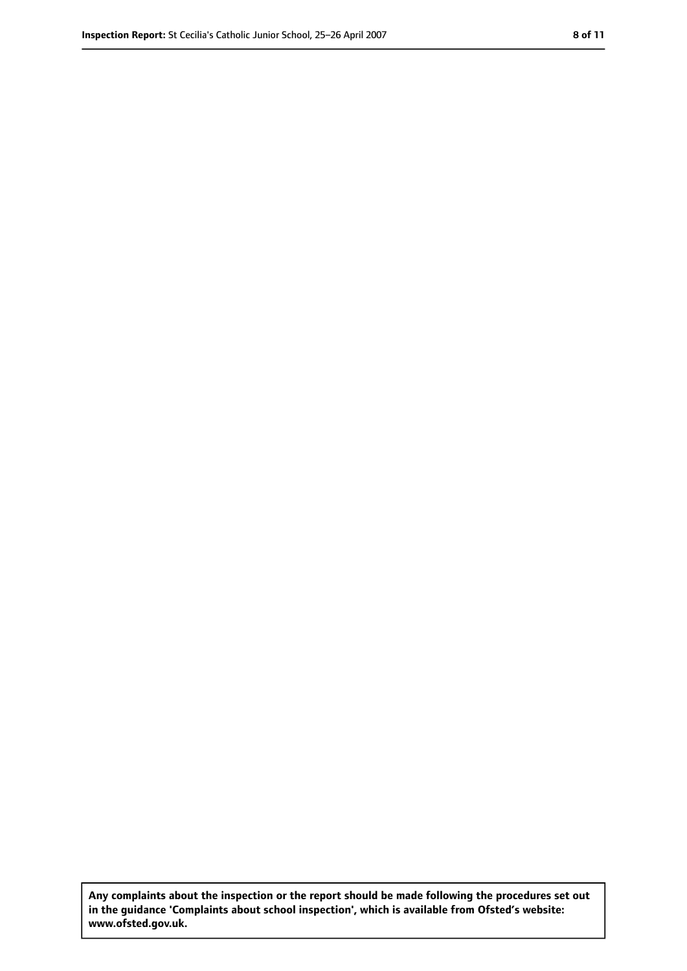**Any complaints about the inspection or the report should be made following the procedures set out in the guidance 'Complaints about school inspection', which is available from Ofsted's website: www.ofsted.gov.uk.**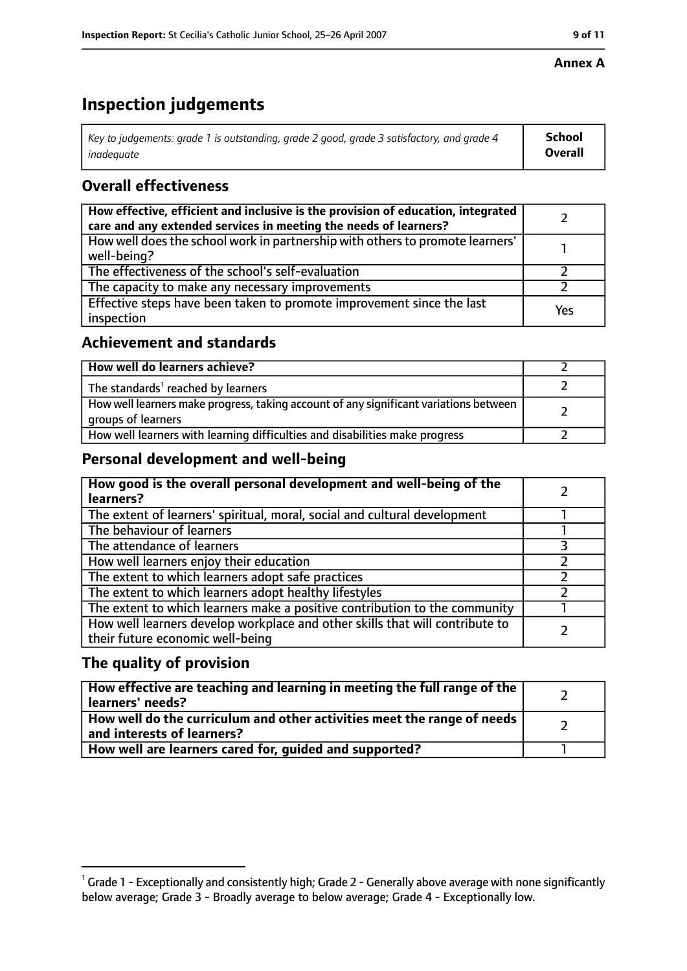#### **Annex A**

# **Inspection judgements**

| Key to judgements: grade 1 is outstanding, grade 2 good, grade 3 satisfactory, and grade 4 | School  |
|--------------------------------------------------------------------------------------------|---------|
| inadequate                                                                                 | Overall |

# **Overall effectiveness**

| How effective, efficient and inclusive is the provision of education, integrated<br>care and any extended services in meeting the needs of learners? |     |
|------------------------------------------------------------------------------------------------------------------------------------------------------|-----|
| How well does the school work in partnership with others to promote learners'<br>well-being?                                                         |     |
| The effectiveness of the school's self-evaluation                                                                                                    |     |
| The capacity to make any necessary improvements                                                                                                      |     |
| Effective steps have been taken to promote improvement since the last<br>inspection                                                                  | Yes |

### **Achievement and standards**

| How well do learners achieve?                                                                               |  |
|-------------------------------------------------------------------------------------------------------------|--|
| The standards <sup>1</sup> reached by learners                                                              |  |
| How well learners make progress, taking account of any significant variations between<br>groups of learners |  |
| How well learners with learning difficulties and disabilities make progress                                 |  |

# **Personal development and well-being**

| How good is the overall personal development and well-being of the<br>learners?                                  |  |
|------------------------------------------------------------------------------------------------------------------|--|
| The extent of learners' spiritual, moral, social and cultural development                                        |  |
| The behaviour of learners                                                                                        |  |
| The attendance of learners                                                                                       |  |
| How well learners enjoy their education                                                                          |  |
| The extent to which learners adopt safe practices                                                                |  |
| The extent to which learners adopt healthy lifestyles                                                            |  |
| The extent to which learners make a positive contribution to the community                                       |  |
| How well learners develop workplace and other skills that will contribute to<br>their future economic well-being |  |

# **The quality of provision**

| How effective are teaching and learning in meeting the full range of the<br>learners' needs?          |  |
|-------------------------------------------------------------------------------------------------------|--|
| How well do the curriculum and other activities meet the range of needs<br>and interests of learners? |  |
| How well are learners cared for, quided and supported?                                                |  |

 $^1$  Grade 1 - Exceptionally and consistently high; Grade 2 - Generally above average with none significantly below average; Grade 3 - Broadly average to below average; Grade 4 - Exceptionally low.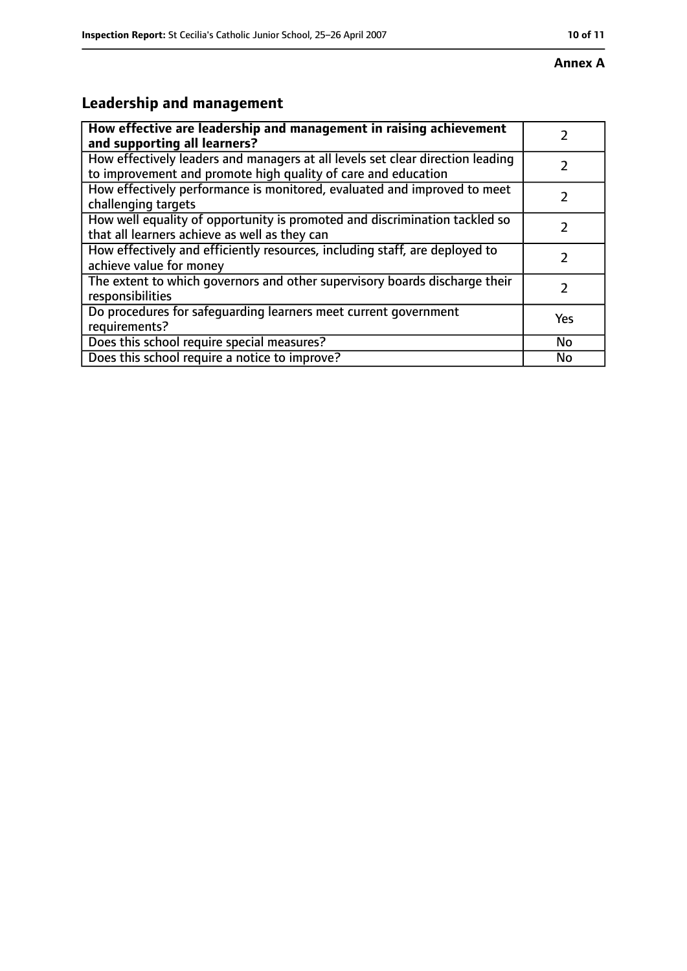#### **Annex A**

# **Leadership and management**

| How effective are leadership and management in raising achievement<br>and supporting all learners?                                              |     |
|-------------------------------------------------------------------------------------------------------------------------------------------------|-----|
| How effectively leaders and managers at all levels set clear direction leading<br>to improvement and promote high quality of care and education |     |
| How effectively performance is monitored, evaluated and improved to meet<br>challenging targets                                                 |     |
| How well equality of opportunity is promoted and discrimination tackled so<br>that all learners achieve as well as they can                     |     |
| How effectively and efficiently resources, including staff, are deployed to<br>achieve value for money                                          | 2   |
| The extent to which governors and other supervisory boards discharge their<br>responsibilities                                                  | 2   |
| Do procedures for safequarding learners meet current government<br>requirements?                                                                | Yes |
| Does this school require special measures?                                                                                                      | No  |
| Does this school require a notice to improve?                                                                                                   | No  |